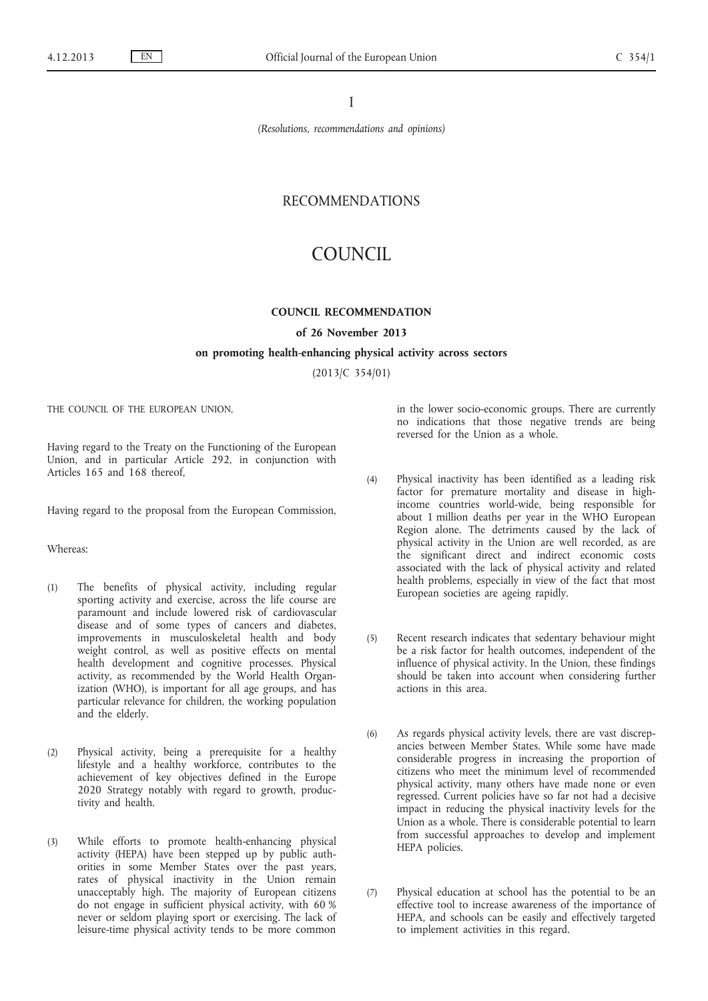I

*(Resolutions, recommendations and opinions)*

## RECOMMENDATIONS

# COUNCIL

### **COUNCIL RECOMMENDATION**

#### **of 26 November 2013**

#### **on promoting health-enhancing physical activity across sectors**

(2013/C 354/01)

THE COUNCIL OF THE EUROPEAN UNION,

Having regard to the Treaty on the Functioning of the European Union, and in particular Article 292, in conjunction with Articles 165 and 168 thereof,

Having regard to the proposal from the European Commission,

## Whereas:

- (1) The benefits of physical activity, including regular sporting activity and exercise, across the life course are paramount and include lowered risk of cardiovascular disease and of some types of cancers and diabetes, improvements in musculoskeletal health and body weight control, as well as positive effects on mental health development and cognitive processes. Physical activity, as recommended by the World Health Organization (WHO), is important for all age groups, and has particular relevance for children, the working population and the elderly.
- (2) Physical activity, being a prerequisite for a healthy lifestyle and a healthy workforce, contributes to the achievement of key objectives defined in the Europe 2020 Strategy notably with regard to growth, productivity and health.
- (3) While efforts to promote health-enhancing physical activity (HEPA) have been stepped up by public authorities in some Member States over the past years, rates of physical inactivity in the Union remain unacceptably high. The majority of European citizens do not engage in sufficient physical activity, with 60 % never or seldom playing sport or exercising. The lack of leisure-time physical activity tends to be more common

in the lower socio-economic groups. There are currently no indications that those negative trends are being reversed for the Union as a whole.

(4) Physical inactivity has been identified as a leading risk factor for premature mortality and disease in highincome countries world-wide, being responsible for about 1 million deaths per year in the WHO European Region alone. The detriments caused by the lack of physical activity in the Union are well recorded, as are the significant direct and indirect economic costs associated with the lack of physical activity and related

health problems, especially in view of the fact that most

(5) Recent research indicates that sedentary behaviour might be a risk factor for health outcomes, independent of the influence of physical activity. In the Union, these findings should be taken into account when considering further actions in this area.

European societies are ageing rapidly.

- (6) As regards physical activity levels, there are vast discrepancies between Member States. While some have made considerable progress in increasing the proportion of citizens who meet the minimum level of recommended physical activity, many others have made none or even regressed. Current policies have so far not had a decisive impact in reducing the physical inactivity levels for the Union as a whole. There is considerable potential to learn from successful approaches to develop and implement HEPA policies.
- (7) Physical education at school has the potential to be an effective tool to increase awareness of the importance of HEPA, and schools can be easily and effectively targeted to implement activities in this regard.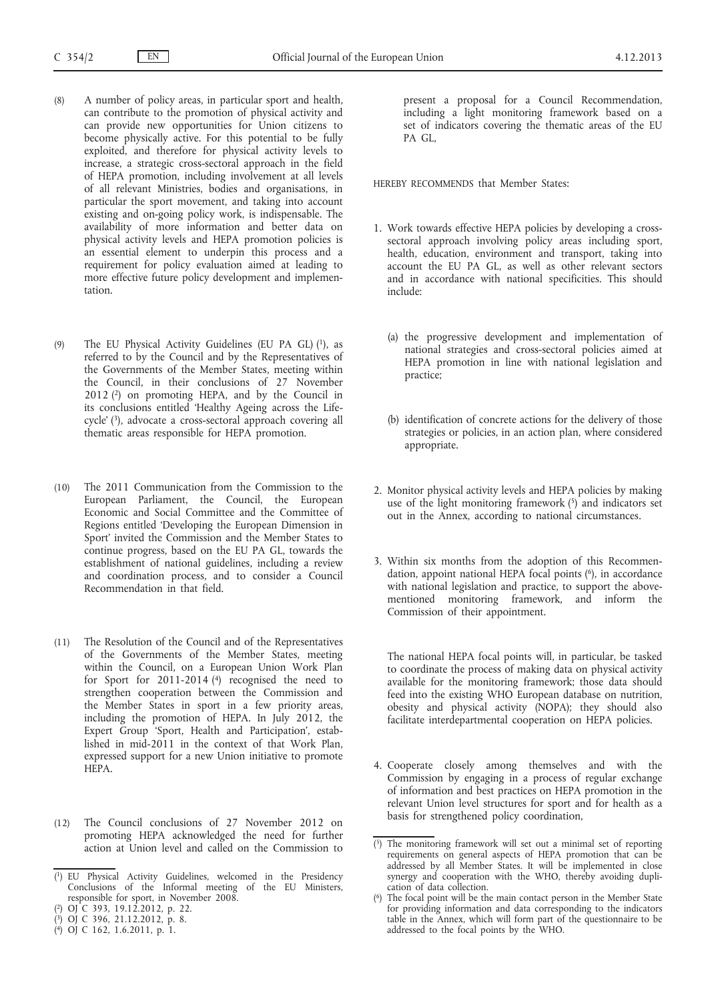- (8) A number of policy areas, in particular sport and health, can contribute to the promotion of physical activity and can provide new opportunities for Union citizens to become physically active. For this potential to be fully exploited, and therefore for physical activity levels to increase, a strategic cross-sectoral approach in the field of HEPA promotion, including involvement at all levels of all relevant Ministries, bodies and organisations, in particular the sport movement, and taking into account existing and on-going policy work, is indispensable. The availability of more information and better data on physical activity levels and HEPA promotion policies is an essential element to underpin this process and a requirement for policy evaluation aimed at leading to more effective future policy development and implementation.
- (9) The EU Physical Activity Guidelines (EU PA GL) (1), as referred to by the Council and by the Representatives of the Governments of the Member States, meeting within the Council, in their conclusions of 27 November 2012 (2) on promoting HEPA, and by the Council in its conclusions entitled 'Healthy Ageing across the Lifecycle' (3), advocate a cross-sectoral approach covering all thematic areas responsible for HEPA promotion.
- (10) The 2011 Communication from the Commission to the European Parliament, the Council, the European Economic and Social Committee and the Committee of Regions entitled 'Developing the European Dimension in Sport' invited the Commission and the Member States to continue progress, based on the EU PA GL, towards the establishment of national guidelines, including a review and coordination process, and to consider a Council Recommendation in that field.
- (11) The Resolution of the Council and of the Representatives of the Governments of the Member States, meeting within the Council, on a European Union Work Plan for Sport for 2011-2014 (4) recognised the need to strengthen cooperation between the Commission and the Member States in sport in a few priority areas, including the promotion of HEPA. In July 2012, the Expert Group 'Sport, Health and Participation', established in mid-2011 in the context of that Work Plan, expressed support for a new Union initiative to promote HEPA.
- (12) The Council conclusions of 27 November 2012 on promoting HEPA acknowledged the need for further action at Union level and called on the Commission to

- ( 3) OJ C 396, 21.12.2012, p. 8.
- ( 4) OJ C 162, 1.6.2011, p. 1.

present a proposal for a Council Recommendation, including a light monitoring framework based on a set of indicators covering the thematic areas of the EU PA GL,

HEREBY RECOMMENDS that Member States:

- 1. Work towards effective HEPA policies by developing a crosssectoral approach involving policy areas including sport, health, education, environment and transport, taking into account the EU PA GL, as well as other relevant sectors and in accordance with national specificities. This should include:
	- (a) the progressive development and implementation of national strategies and cross-sectoral policies aimed at HEPA promotion in line with national legislation and practice;
	- (b) identification of concrete actions for the delivery of those strategies or policies, in an action plan, where considered appropriate.
- 2. Monitor physical activity levels and HEPA policies by making use of the light monitoring framework  $(5)$  and indicators set out in the Annex, according to national circumstances.
- 3. Within six months from the adoption of this Recommendation, appoint national HEPA focal points (<sup>6</sup>), in accordance with national legislation and practice, to support the abovementioned monitoring framework, and inform the Commission of their appointment.

The national HEPA focal points will, in particular, be tasked to coordinate the process of making data on physical activity available for the monitoring framework; those data should feed into the existing WHO European database on nutrition, obesity and physical activity (NOPA); they should also facilitate interdepartmental cooperation on HEPA policies.

4. Cooperate closely among themselves and with the Commission by engaging in a process of regular exchange of information and best practices on HEPA promotion in the relevant Union level structures for sport and for health as a basis for strengthened policy coordination,

<sup>(</sup> 1) EU Physical Activity Guidelines, welcomed in the Presidency Conclusions of the Informal meeting of the EU Ministers, responsible for sport, in November 2008.

<sup>(</sup> 2) OJ C 393, 19.12.2012, p. 22.

<sup>(</sup> 5) The monitoring framework will set out a minimal set of reporting requirements on general aspects of HEPA promotion that can be addressed by all Member States. It will be implemented in close synergy and cooperation with the WHO, thereby avoiding duplication of data collection.

<sup>(</sup> 6) The focal point will be the main contact person in the Member State for providing information and data corresponding to the indicators table in the Annex, which will form part of the questionnaire to be addressed to the focal points by the WHO.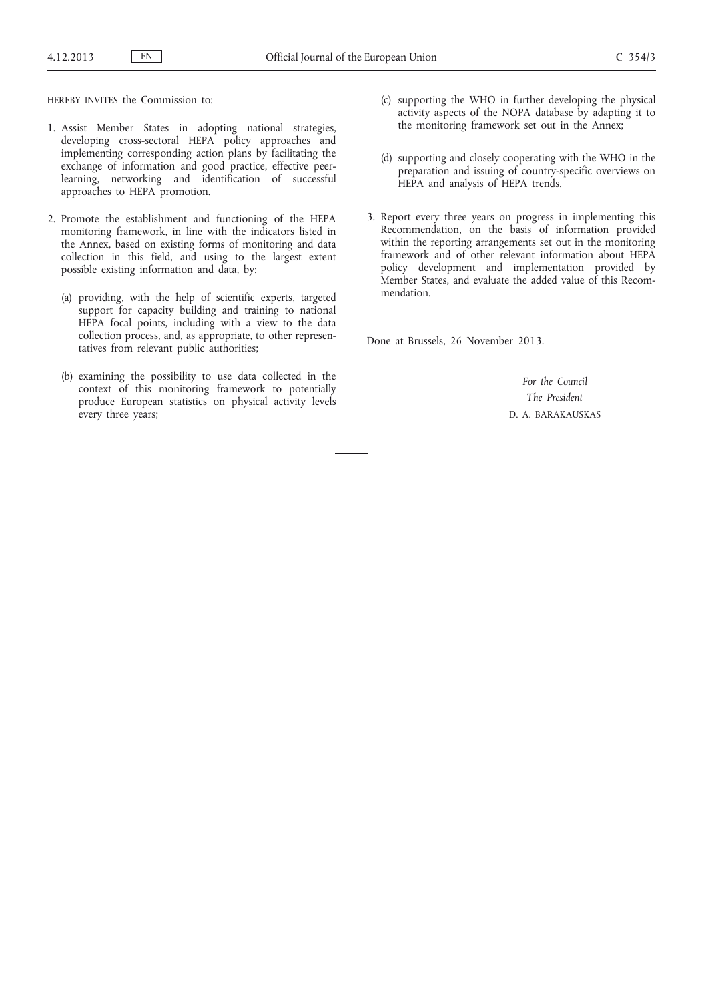HEREBY INVITES the Commission to:

- 1. Assist Member States in adopting national strategies, developing cross-sectoral HEPA policy approaches and implementing corresponding action plans by facilitating the exchange of information and good practice, effective peerlearning, networking and identification of successful approaches to HEPA promotion.
- 2. Promote the establishment and functioning of the HEPA monitoring framework, in line with the indicators listed in the Annex, based on existing forms of monitoring and data collection in this field, and using to the largest extent possible existing information and data, by:
	- (a) providing, with the help of scientific experts, targeted support for capacity building and training to national HEPA focal points, including with a view to the data collection process, and, as appropriate, to other representatives from relevant public authorities;
	- (b) examining the possibility to use data collected in the context of this monitoring framework to potentially produce European statistics on physical activity levels every three years;
- (c) supporting the WHO in further developing the physical activity aspects of the NOPA database by adapting it to the monitoring framework set out in the Annex;
- (d) supporting and closely cooperating with the WHO in the preparation and issuing of country-specific overviews on HEPA and analysis of HEPA trends.
- 3. Report every three years on progress in implementing this Recommendation, on the basis of information provided within the reporting arrangements set out in the monitoring framework and of other relevant information about HEPA policy development and implementation provided by Member States, and evaluate the added value of this Recommendation.

Done at Brussels, 26 November 2013.

*For the Council The President* D. A. BARAKAUSKAS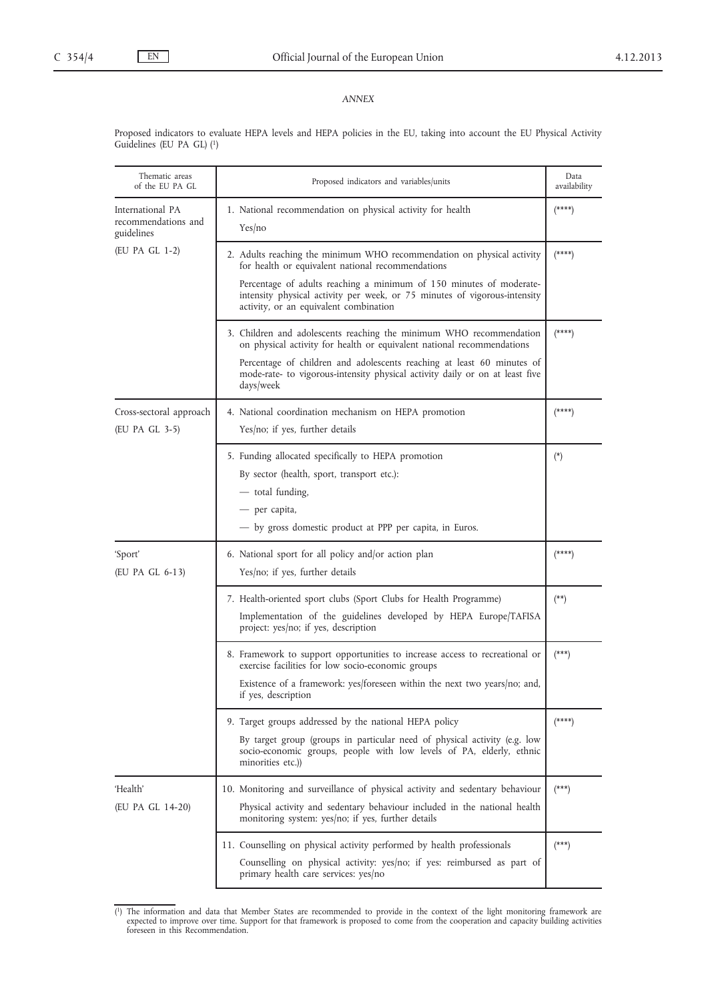## *ANNEX*

Proposed indicators to evaluate HEPA levels and HEPA policies in the EU, taking into account the EU Physical Activity Guidelines (EU PA GL) (1)

| Thematic areas<br>of the EU PA GL                     | Proposed indicators and variables/units                                                                                                                                                                                          | Data<br>availability |
|-------------------------------------------------------|----------------------------------------------------------------------------------------------------------------------------------------------------------------------------------------------------------------------------------|----------------------|
| International PA<br>recommendations and<br>guidelines | 1. National recommendation on physical activity for health<br>Yes/no                                                                                                                                                             | $(****)$             |
| (EU PA GL 1-2)                                        | 2. Adults reaching the minimum WHO recommendation on physical activity<br>for health or equivalent national recommendations                                                                                                      | $(****)$             |
|                                                       | Percentage of adults reaching a minimum of 150 minutes of moderate-<br>intensity physical activity per week, or 75 minutes of vigorous-intensity<br>activity, or an equivalent combination                                       |                      |
|                                                       | 3. Children and adolescents reaching the minimum WHO recommendation<br>on physical activity for health or equivalent national recommendations                                                                                    | $(****)$             |
|                                                       | Percentage of children and adolescents reaching at least 60 minutes of<br>mode-rate- to vigorous-intensity physical activity daily or on at least five<br>days/week                                                              |                      |
| Cross-sectoral approach<br>(EU PA GL 3-5)             | 4. National coordination mechanism on HEPA promotion<br>Yes/no; if yes, further details                                                                                                                                          | $(****)$             |
|                                                       | 5. Funding allocated specifically to HEPA promotion<br>By sector (health, sport, transport etc.):<br>— total funding,<br>- per capita,<br>- by gross domestic product at PPP per capita, in Euros.                               | $(*)$                |
| 'Sport'<br>(EU PA GL 6-13)                            | 6. National sport for all policy and/or action plan<br>Yes/no; if yes, further details                                                                                                                                           | $(****)$             |
|                                                       | 7. Health-oriented sport clubs (Sport Clubs for Health Programme)<br>Implementation of the guidelines developed by HEPA Europe/TAFISA<br>project: yes/no; if yes, description                                                    | $(**)$               |
|                                                       | 8. Framework to support opportunities to increase access to recreational or<br>exercise facilities for low socio-economic groups                                                                                                 | $(\ast\ast\ast)$     |
|                                                       | Existence of a framework: yes/foreseen within the next two years/no; and,<br>if yes, description                                                                                                                                 |                      |
|                                                       | 9. Target groups addressed by the national HEPA policy<br>By target group (groups in particular need of physical activity (e.g. low<br>socio-economic groups, people with low levels of PA, elderly, ethnic<br>minorities etc.)) | $(*****)$            |
| 'Health'<br>(EU PA GL 14-20)                          | 10. Monitoring and surveillance of physical activity and sedentary behaviour<br>Physical activity and sedentary behaviour included in the national health<br>monitoring system: yes/no; if yes, further details                  | $(***)$              |
|                                                       | 11. Counselling on physical activity performed by health professionals<br>Counselling on physical activity: yes/no; if yes: reimbursed as part of<br>primary health care services: yes/no                                        | $(***)$              |

<sup>(1)</sup> The information and data that Member States are recommended to provide in the context of the light monitoring framework are expected to improve over time. Support for that framework is proposed to come from the coopera